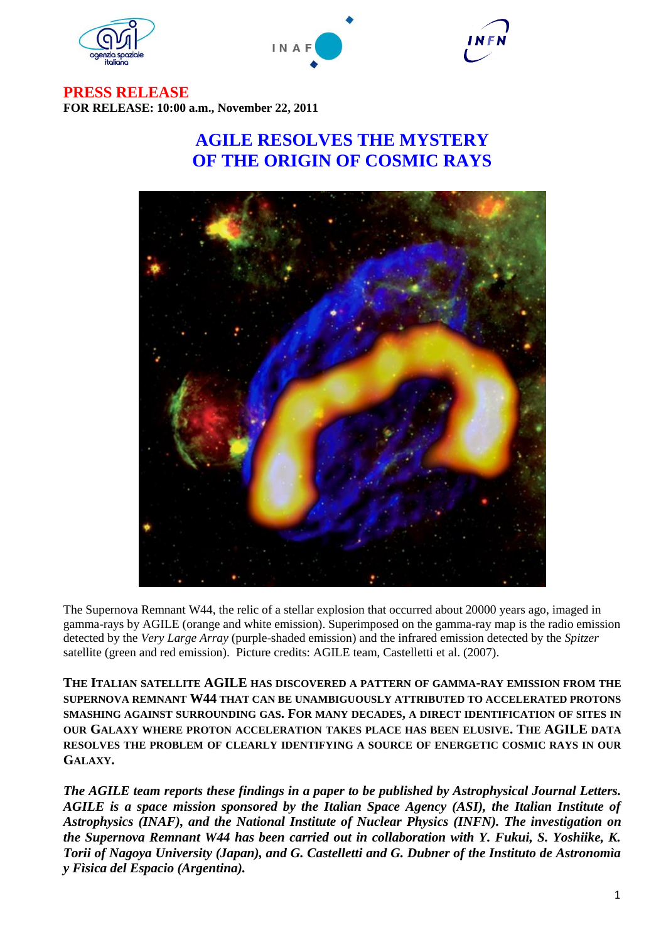





**PRESS RELEASE FOR RELEASE: 10:00 a.m., November 22, 2011**

## **AGILE RESOLVES THE MYSTERY OF THE ORIGIN OF COSMIC RAYS**



The Supernova Remnant W44, the relic of a stellar explosion that occurred about 20000 years ago, imaged in gamma-rays by AGILE (orange and white emission). Superimposed on the gamma-ray map is the radio emission detected by the *Very Large Array* (purple-shaded emission) and the infrared emission detected by the *Spitzer*  satellite (green and red emission). Picture credits: AGILE team, Castelletti et al. (2007).

**THE ITALIAN SATELLITE AGILE HAS DISCOVERED A PATTERN OF GAMMA-RAY EMISSION FROM THE SUPERNOVA REMNANT W44 THAT CAN BE UNAMBIGUOUSLY ATTRIBUTED TO ACCELERATED PROTONS SMASHING AGAINST SURROUNDING GAS. FOR MANY DECADES, A DIRECT IDENTIFICATION OF SITES IN OUR GALAXY WHERE PROTON ACCELERATION TAKES PLACE HAS BEEN ELUSIVE. THE AGILE DATA RESOLVES THE PROBLEM OF CLEARLY IDENTIFYING A SOURCE OF ENERGETIC COSMIC RAYS IN OUR GALAXY.**

*The AGILE team reports these findings in a paper to be published by Astrophysical Journal Letters. AGILE is a space mission sponsored by the Italian Space Agency (ASI), the Italian Institute of Astrophysics (INAF), and the National Institute of Nuclear Physics (INFN). The investigation on the Supernova Remnant W44 has been carried out in collaboration with Y. Fukui, S. Yoshiike, K. Torii of Nagoya University (Japan), and G. Castelletti and G. Dubner of the Instituto de Astronomìa y Fìsica del Espacio (Argentina).*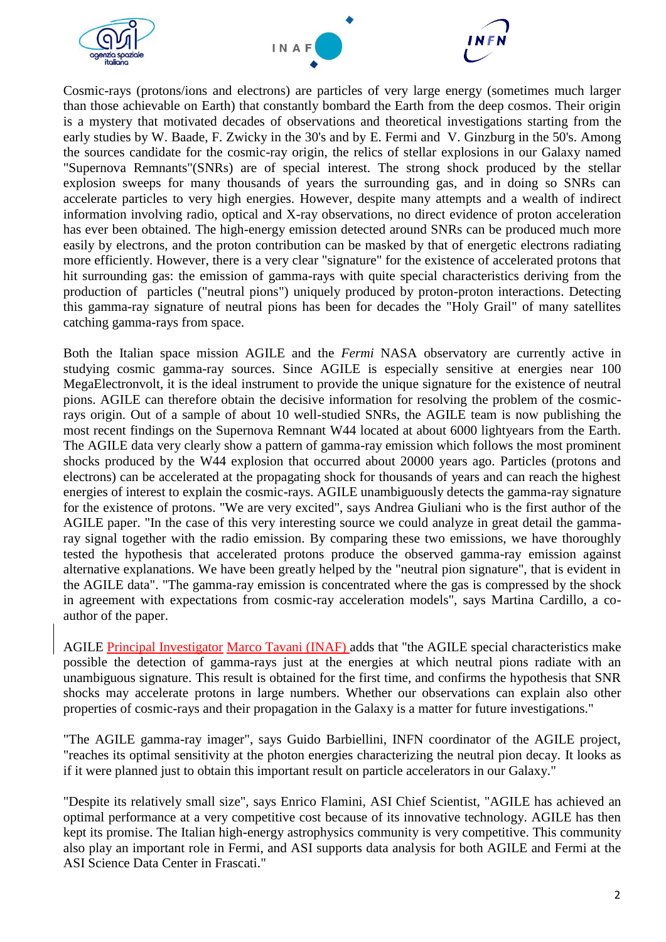



Cosmic-rays (protons/ions and electrons) are particles of very large energy (sometimes much larger than those achievable on Earth) that constantly bombard the Earth from the deep cosmos. Their origin is a mystery that motivated decades of observations and theoretical investigations starting from the early studies by W. Baade, F. Zwicky in the 30's and by E. Fermi and V. Ginzburg in the 50's. Among the sources candidate for the cosmic-ray origin, the relics of stellar explosions in our Galaxy named "Supernova Remnants"(SNRs) are of special interest. The strong shock produced by the stellar explosion sweeps for many thousands of years the surrounding gas, and in doing so SNRs can accelerate particles to very high energies. However, despite many attempts and a wealth of indirect information involving radio, optical and X-ray observations, no direct evidence of proton acceleration has ever been obtained. The high-energy emission detected around SNRs can be produced much more easily by electrons, and the proton contribution can be masked by that of energetic electrons radiating more efficiently. However, there is a very clear "signature" for the existence of accelerated protons that hit surrounding gas: the emission of gamma-rays with quite special characteristics deriving from the production of particles ("neutral pions") uniquely produced by proton-proton interactions. Detecting this gamma-ray signature of neutral pions has been for decades the "Holy Grail" of many satellites catching gamma-rays from space.

Both the Italian space mission AGILE and the *Fermi* NASA observatory are currently active in studying cosmic gamma-ray sources. Since AGILE is especially sensitive at energies near 100 MegaElectronvolt, it is the ideal instrument to provide the unique signature for the existence of neutral pions. AGILE can therefore obtain the decisive information for resolving the problem of the cosmicrays origin. Out of a sample of about 10 well-studied SNRs, the AGILE team is now publishing the most recent findings on the Supernova Remnant W44 located at about 6000 lightyears from the Earth. The AGILE data very clearly show a pattern of gamma-ray emission which follows the most prominent shocks produced by the W44 explosion that occurred about 20000 years ago. Particles (protons and electrons) can be accelerated at the propagating shock for thousands of years and can reach the highest energies of interest to explain the cosmic-rays. AGILE unambiguously detects the gamma-ray signature for the existence of protons. "We are very excited", says Andrea Giuliani who is the first author of the AGILE paper. "In the case of this very interesting source we could analyze in great detail the gammaray signal together with the radio emission. By comparing these two emissions, we have thoroughly tested the hypothesis that accelerated protons produce the observed gamma-ray emission against alternative explanations. We have been greatly helped by the "neutral pion signature", that is evident in the AGILE data". "The gamma-ray emission is concentrated where the gas is compressed by the shock in agreement with expectations from cosmic-ray acceleration models", says Martina Cardillo, a coauthor of the paper.

AGILE Principal Investigator Marco Tavani (INAF) adds that "the AGILE special characteristics make possible the detection of gamma-rays just at the energies at which neutral pions radiate with an unambiguous signature. This result is obtained for the first time, and confirms the hypothesis that SNR shocks may accelerate protons in large numbers. Whether our observations can explain also other properties of cosmic-rays and their propagation in the Galaxy is a matter for future investigations."

"The AGILE gamma-ray imager", says Guido Barbiellini, INFN coordinator of the AGILE project, "reaches its optimal sensitivity at the photon energies characterizing the neutral pion decay. It looks as if it were planned just to obtain this important result on particle accelerators in our Galaxy."

"Despite its relatively small size", says Enrico Flamini, ASI Chief Scientist, "AGILE has achieved an optimal performance at a very competitive cost because of its innovative technology. AGILE has then kept its promise. The Italian high-energy astrophysics community is very competitive. This community also play an important role in Fermi, and ASI supports data analysis for both AGILE and Fermi at the ASI Science Data Center in Frascati."